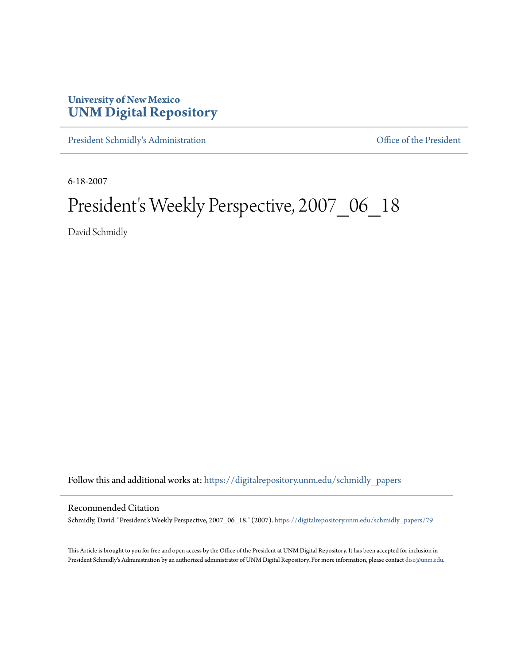## **University of New Mexico [UNM Digital Repository](https://digitalrepository.unm.edu?utm_source=digitalrepository.unm.edu%2Fschmidly_papers%2F79&utm_medium=PDF&utm_campaign=PDFCoverPages)**

[President Schmidly's Administration](https://digitalrepository.unm.edu/schmidly_papers?utm_source=digitalrepository.unm.edu%2Fschmidly_papers%2F79&utm_medium=PDF&utm_campaign=PDFCoverPages) [Office of the President](https://digitalrepository.unm.edu/ofc_president?utm_source=digitalrepository.unm.edu%2Fschmidly_papers%2F79&utm_medium=PDF&utm_campaign=PDFCoverPages)

6-18-2007

## President's Weekly Perspective, 2007\_06\_18

David Schmidly

Follow this and additional works at: [https://digitalrepository.unm.edu/schmidly\\_papers](https://digitalrepository.unm.edu/schmidly_papers?utm_source=digitalrepository.unm.edu%2Fschmidly_papers%2F79&utm_medium=PDF&utm_campaign=PDFCoverPages)

## Recommended Citation

Schmidly, David. "President's Weekly Perspective, 2007\_06\_18." (2007). [https://digitalrepository.unm.edu/schmidly\\_papers/79](https://digitalrepository.unm.edu/schmidly_papers/79?utm_source=digitalrepository.unm.edu%2Fschmidly_papers%2F79&utm_medium=PDF&utm_campaign=PDFCoverPages)

This Article is brought to you for free and open access by the Office of the President at UNM Digital Repository. It has been accepted for inclusion in President Schmidly's Administration by an authorized administrator of UNM Digital Repository. For more information, please contact [disc@unm.edu](mailto:disc@unm.edu).